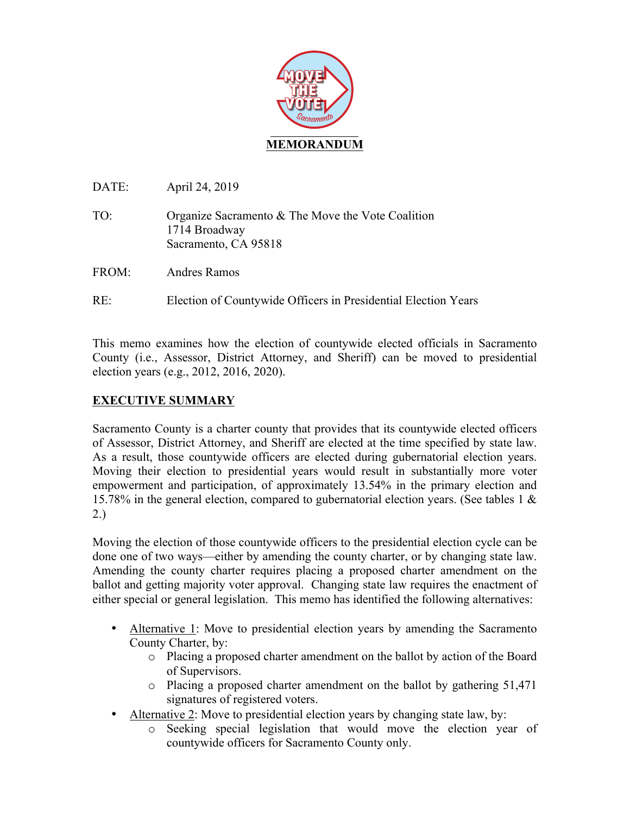

DATE: April 24, 2019

- TO: Organize Sacramento & The Move the Vote Coalition 1714 Broadway Sacramento, CA 95818
- FROM: Andres Ramos
- RE: Election of Countywide Officers in Presidential Election Years

This memo examines how the election of countywide elected officials in Sacramento County (i.e., Assessor, District Attorney, and Sheriff) can be moved to presidential election years (e.g., 2012, 2016, 2020).

# **EXECUTIVE SUMMARY**

Sacramento County is a charter county that provides that its countywide elected officers of Assessor, District Attorney, and Sheriff are elected at the time specified by state law. As a result, those countywide officers are elected during gubernatorial election years. Moving their election to presidential years would result in substantially more voter empowerment and participation, of approximately 13.54% in the primary election and 15.78% in the general election, compared to gubernatorial election years. (See tables 1 & 2.)

Moving the election of those countywide officers to the presidential election cycle can be done one of two ways—either by amending the county charter, or by changing state law. Amending the county charter requires placing a proposed charter amendment on the ballot and getting majority voter approval. Changing state law requires the enactment of either special or general legislation. This memo has identified the following alternatives:

- Alternative 1: Move to presidential election years by amending the Sacramento County Charter, by:
	- o Placing a proposed charter amendment on the ballot by action of the Board of Supervisors.
	- o Placing a proposed charter amendment on the ballot by gathering 51,471 signatures of registered voters.
- Alternative 2: Move to presidential election years by changing state law, by:
	- o Seeking special legislation that would move the election year of countywide officers for Sacramento County only.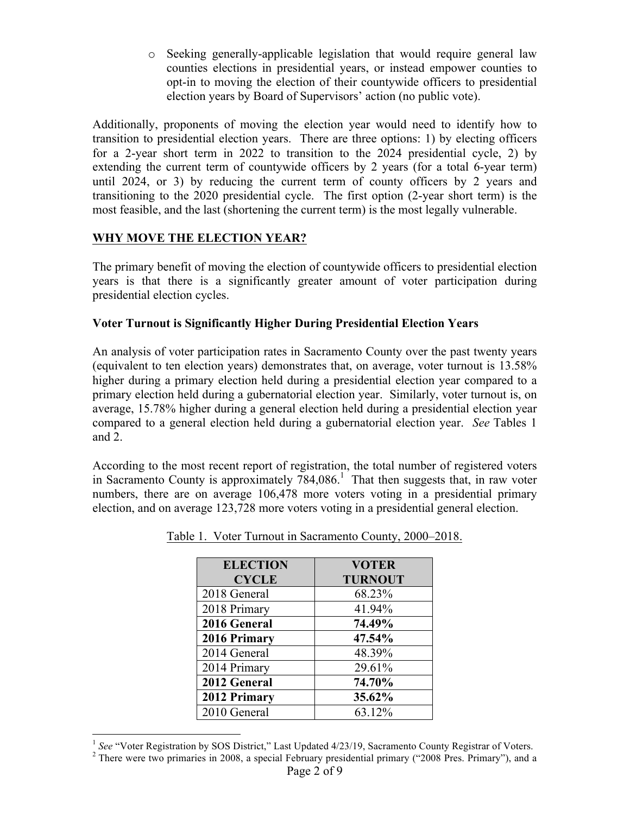o Seeking generally-applicable legislation that would require general law counties elections in presidential years, or instead empower counties to opt-in to moving the election of their countywide officers to presidential election years by Board of Supervisors' action (no public vote).

Additionally, proponents of moving the election year would need to identify how to transition to presidential election years. There are three options: 1) by electing officers for a 2-year short term in 2022 to transition to the 2024 presidential cycle, 2) by extending the current term of countywide officers by 2 years (for a total 6-year term) until 2024, or 3) by reducing the current term of county officers by 2 years and transitioning to the 2020 presidential cycle. The first option (2-year short term) is the most feasible, and the last (shortening the current term) is the most legally vulnerable.

# **WHY MOVE THE ELECTION YEAR?**

The primary benefit of moving the election of countywide officers to presidential election years is that there is a significantly greater amount of voter participation during presidential election cycles.

# **Voter Turnout is Significantly Higher During Presidential Election Years**

An analysis of voter participation rates in Sacramento County over the past twenty years (equivalent to ten election years) demonstrates that, on average, voter turnout is 13.58% higher during a primary election held during a presidential election year compared to a primary election held during a gubernatorial election year. Similarly, voter turnout is, on average, 15.78% higher during a general election held during a presidential election year compared to a general election held during a gubernatorial election year. *See* Tables 1 and 2.

According to the most recent report of registration, the total number of registered voters in Sacramento County is approximately  $784,086$ <sup>1</sup> That then suggests that, in raw voter numbers, there are on average 106,478 more voters voting in a presidential primary election, and on average 123,728 more voters voting in a presidential general election.

| <b>ELECTION</b> | <b>VOTER</b>   |
|-----------------|----------------|
| <b>CYCLE</b>    | <b>TURNOUT</b> |
| 2018 General    | 68.23%         |
| 2018 Primary    | 41.94%         |
| 2016 General    | 74.49%         |
| 2016 Primary    | 47.54%         |
| 2014 General    | 48.39%         |
| 2014 Primary    | 29.61%         |
| 2012 General    | 74.70%         |
| 2012 Primary    | 35.62%         |
| 2010 General    | 63.12%         |

<sup>&</sup>lt;sup>1</sup> *See* "Voter Registration by SOS District," Last Updated 4/23/19, Sacramento County Registrar of Voters. <sup>2</sup> There were two primaries in 2008, a special February presidential primary ("2008 Pres. Primary"), and a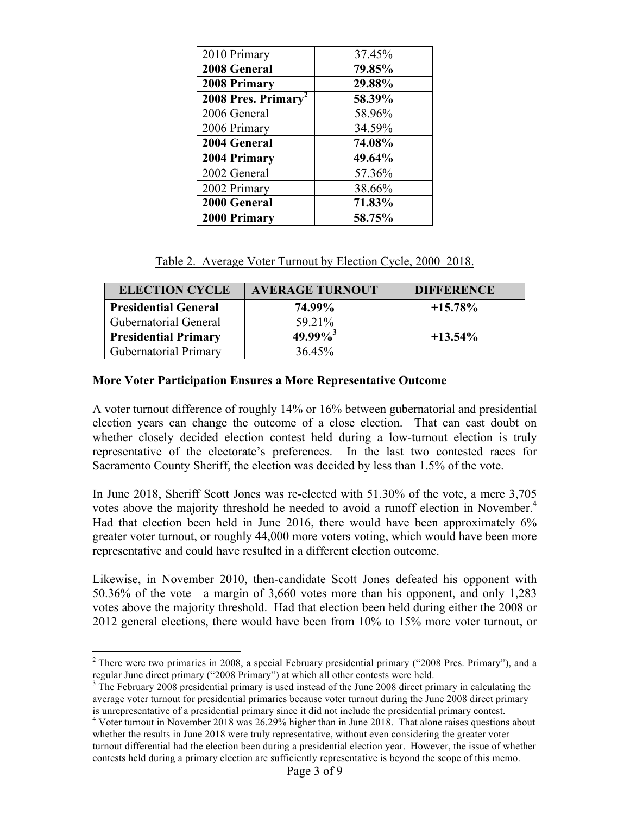| 2010 Primary       | 37.45% |
|--------------------|--------|
| 2008 General       | 79.85% |
| 2008 Primary       | 29.88% |
| 2008 Pres. Primary | 58.39% |
| 2006 General       | 58.96% |
| 2006 Primary       | 34.59% |
| 2004 General       | 74.08% |
| 2004 Primary       | 49.64% |
| 2002 General       | 57.36% |
| 2002 Primary       | 38.66% |
| 2000 General       | 71.83% |
| 2000 Primary       | 58.75% |

|  |  |  | Table 2. Average Voter Turnout by Election Cycle, 2000–2018. |
|--|--|--|--------------------------------------------------------------|
|  |  |  |                                                              |

| <b>ELECTION CYCLE</b>        | <b>AVERAGE TURNOUT</b> | <b>DIFFERENCE</b> |
|------------------------------|------------------------|-------------------|
| <b>Presidential General</b>  | 74.99%                 | $+15.78\%$        |
| <b>Gubernatorial General</b> | 59.21%                 |                   |
| <b>Presidential Primary</b>  | $49.99\%$ <sup>3</sup> | $+13.54\%$        |
| <b>Gubernatorial Primary</b> | 36.45%                 |                   |

#### **More Voter Participation Ensures a More Representative Outcome**

A voter turnout difference of roughly 14% or 16% between gubernatorial and presidential election years can change the outcome of a close election. That can cast doubt on whether closely decided election contest held during a low-turnout election is truly representative of the electorate's preferences. In the last two contested races for Sacramento County Sheriff, the election was decided by less than 1.5% of the vote.

In June 2018, Sheriff Scott Jones was re-elected with 51.30% of the vote, a mere 3,705 votes above the majority threshold he needed to avoid a runoff election in November.<sup>4</sup> Had that election been held in June 2016, there would have been approximately 6% greater voter turnout, or roughly 44,000 more voters voting, which would have been more representative and could have resulted in a different election outcome.

Likewise, in November 2010, then-candidate Scott Jones defeated his opponent with 50.36% of the vote—a margin of 3,660 votes more than his opponent, and only 1,283 votes above the majority threshold. Had that election been held during either the 2008 or 2012 general elections, there would have been from 10% to 15% more voter turnout, or

<sup>&</sup>lt;sup>2</sup> There were two primaries in 2008, a special February presidential primary ("2008 Pres. Primary"), and a regular June direct primary ("2008 Primary") at which all other contests were held.

<sup>&</sup>lt;sup>3</sup> The February 2008 presidential primary is used instead of the June 2008 direct primary in calculating the average voter turnout for presidential primaries because voter turnout during the June 2008 direct primary is unrepresentative of a presidential primary since it did not include the presidential primary contest.

<sup>&</sup>lt;sup>4</sup> Voter turnout in November 2018 was 26.29% higher than in June 2018. That alone raises questions about whether the results in June 2018 were truly representative, without even considering the greater voter turnout differential had the election been during a presidential election year. However, the issue of whether contests held during a primary election are sufficiently representative is beyond the scope of this memo.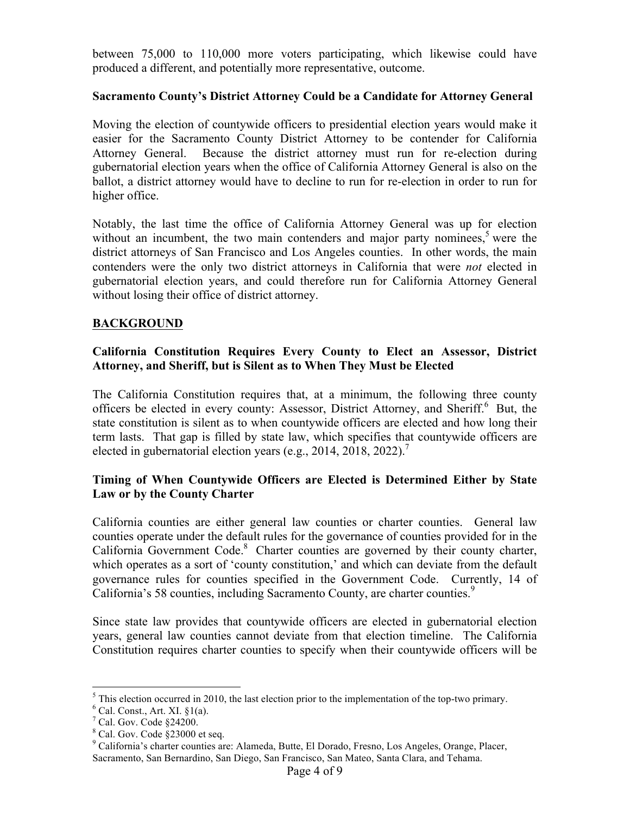between 75,000 to 110,000 more voters participating, which likewise could have produced a different, and potentially more representative, outcome.

# **Sacramento County's District Attorney Could be a Candidate for Attorney General**

Moving the election of countywide officers to presidential election years would make it easier for the Sacramento County District Attorney to be contender for California Attorney General. Because the district attorney must run for re-election during gubernatorial election years when the office of California Attorney General is also on the ballot, a district attorney would have to decline to run for re-election in order to run for higher office.

Notably, the last time the office of California Attorney General was up for election without an incumbent, the two main contenders and major party nominees,<sup>5</sup> were the district attorneys of San Francisco and Los Angeles counties. In other words, the main contenders were the only two district attorneys in California that were *not* elected in gubernatorial election years, and could therefore run for California Attorney General without losing their office of district attorney.

# **BACKGROUND**

# **California Constitution Requires Every County to Elect an Assessor, District Attorney, and Sheriff, but is Silent as to When They Must be Elected**

The California Constitution requires that, at a minimum, the following three county officers be elected in every county: Assessor, District Attorney, and Sheriff. <sup>6</sup> But, the state constitution is silent as to when countywide officers are elected and how long their term lasts. That gap is filled by state law, which specifies that countywide officers are elected in gubernatorial election years (e.g., 2014, 2018, 2022).<sup>7</sup>

# **Timing of When Countywide Officers are Elected is Determined Either by State Law or by the County Charter**

California counties are either general law counties or charter counties. General law counties operate under the default rules for the governance of counties provided for in the California Government Code.<sup>8</sup> Charter counties are governed by their county charter, which operates as a sort of 'county constitution,' and which can deviate from the default governance rules for counties specified in the Government Code. Currently, 14 of California's 58 counties, including Sacramento County, are charter counties.<sup>9</sup>

Since state law provides that countywide officers are elected in gubernatorial election years, general law counties cannot deviate from that election timeline. The California Constitution requires charter counties to specify when their countywide officers will be

 $5$  This election occurred in 2010, the last election prior to the implementation of the top-two primary.  $6$  Cal. Const., Art. XI. §1(a).

<sup>7</sup> Cal. Gov. Code §24200.

<sup>8</sup> Cal. Gov. Code §23000 et seq.

<sup>9</sup> California's charter counties are: Alameda, Butte, El Dorado, Fresno, Los Angeles, Orange, Placer, Sacramento, San Bernardino, San Diego, San Francisco, San Mateo, Santa Clara, and Tehama.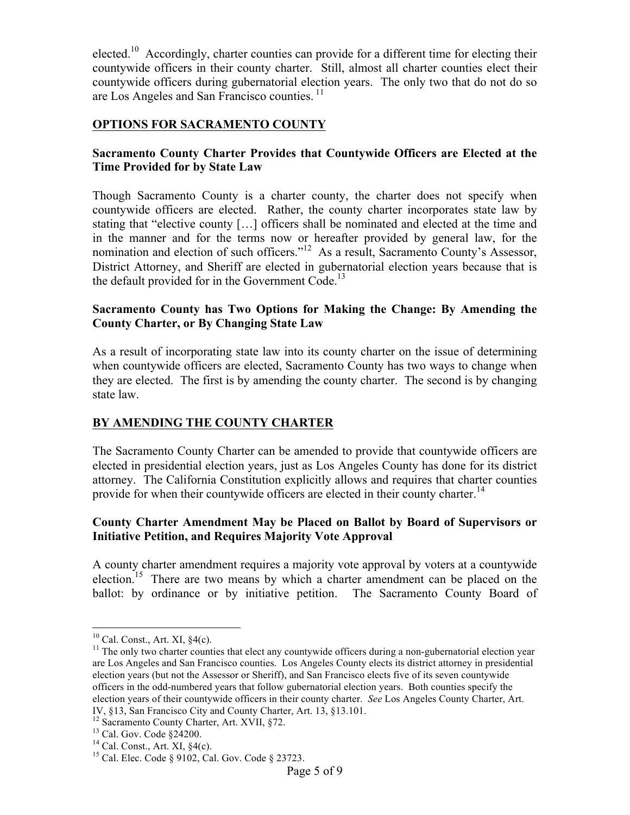elected.<sup>10</sup> Accordingly, charter counties can provide for a different time for electing their countywide officers in their county charter. Still, almost all charter counties elect their countywide officers during gubernatorial election years. The only two that do not do so are Los Angeles and San Francisco counties.<sup>11</sup>

# **OPTIONS FOR SACRAMENTO COUNTY**

#### **Sacramento County Charter Provides that Countywide Officers are Elected at the Time Provided for by State Law**

Though Sacramento County is a charter county, the charter does not specify when countywide officers are elected. Rather, the county charter incorporates state law by stating that "elective county […] officers shall be nominated and elected at the time and in the manner and for the terms now or hereafter provided by general law, for the nomination and election of such officers."<sup>12</sup> As a result, Sacramento County's Assessor, District Attorney, and Sheriff are elected in gubernatorial election years because that is the default provided for in the Government Code.<sup>13</sup>

#### **Sacramento County has Two Options for Making the Change: By Amending the County Charter, or By Changing State Law**

As a result of incorporating state law into its county charter on the issue of determining when countywide officers are elected, Sacramento County has two ways to change when they are elected. The first is by amending the county charter. The second is by changing state law.

# **BY AMENDING THE COUNTY CHARTER**

The Sacramento County Charter can be amended to provide that countywide officers are elected in presidential election years, just as Los Angeles County has done for its district attorney. The California Constitution explicitly allows and requires that charter counties provide for when their countywide officers are elected in their county charter.<sup>14</sup>

#### **County Charter Amendment May be Placed on Ballot by Board of Supervisors or Initiative Petition, and Requires Majority Vote Approval**

A county charter amendment requires a majority vote approval by voters at a countywide election.<sup>15</sup> There are two means by which a charter amendment can be placed on the ballot: by ordinance or by initiative petition. The Sacramento County Board of

<sup>&</sup>lt;sup>10</sup> Cal. Const., Art. XI,  $\S4(c)$ .<br><sup>11</sup> The only two charter counties that elect any countywide officers during a non-gubernatorial election year are Los Angeles and San Francisco counties. Los Angeles County elects its district attorney in presidential election years (but not the Assessor or Sheriff), and San Francisco elects five of its seven countywide officers in the odd-numbered years that follow gubernatorial election years. Both counties specify the election years of their countywide officers in their county charter. *See* Los Angeles County Charter, Art.

IV, §13, San Francisco City and County Charter, Art. 13, §13.101.<br><sup>12</sup> Sacramento County Charter, Art. XVII, §72.<br><sup>13</sup> Cal. Gov. Code §24200. <sup>14</sup> Cal. Const., Art. XI, §4(c). <sup>15</sup> Cal. Elec. Code § 9102, Cal. Gov. Code §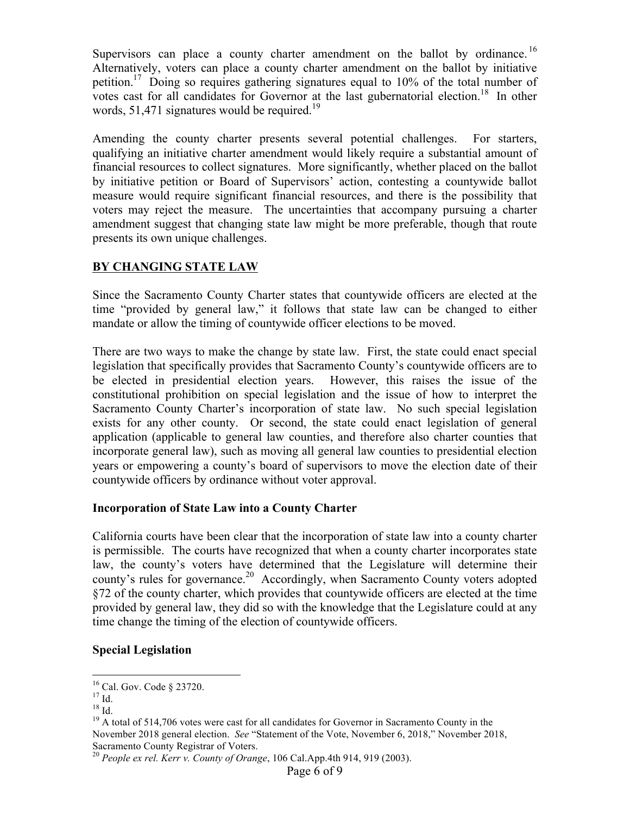Supervisors can place a county charter amendment on the ballot by ordinance.<sup>16</sup> Alternatively, voters can place a county charter amendment on the ballot by initiative petition.<sup>17</sup> Doing so requires gathering signatures equal to 10% of the total number of votes cast for all candidates for Governor at the last gubernatorial election.<sup>18</sup> In other words, 51,471 signatures would be required.<sup>19</sup>

Amending the county charter presents several potential challenges. For starters, qualifying an initiative charter amendment would likely require a substantial amount of financial resources to collect signatures. More significantly, whether placed on the ballot by initiative petition or Board of Supervisors' action, contesting a countywide ballot measure would require significant financial resources, and there is the possibility that voters may reject the measure. The uncertainties that accompany pursuing a charter amendment suggest that changing state law might be more preferable, though that route presents its own unique challenges.

# **BY CHANGING STATE LAW**

Since the Sacramento County Charter states that countywide officers are elected at the time "provided by general law," it follows that state law can be changed to either mandate or allow the timing of countywide officer elections to be moved.

There are two ways to make the change by state law. First, the state could enact special legislation that specifically provides that Sacramento County's countywide officers are to be elected in presidential election years. However, this raises the issue of the constitutional prohibition on special legislation and the issue of how to interpret the Sacramento County Charter's incorporation of state law. No such special legislation exists for any other county. Or second, the state could enact legislation of general application (applicable to general law counties, and therefore also charter counties that incorporate general law), such as moving all general law counties to presidential election years or empowering a county's board of supervisors to move the election date of their countywide officers by ordinance without voter approval.

# **Incorporation of State Law into a County Charter**

California courts have been clear that the incorporation of state law into a county charter is permissible. The courts have recognized that when a county charter incorporates state law, the county's voters have determined that the Legislature will determine their county's rules for governance.<sup>20</sup> Accordingly, when Sacramento County voters adopted §72 of the county charter, which provides that countywide officers are elected at the time provided by general law, they did so with the knowledge that the Legislature could at any time change the timing of the election of countywide officers.

# **Special Legislation**

<sup>&</sup>lt;sup>16</sup> Cal. Gov. Code § 23720.<br><sup>17</sup> Id.<br><sup>18</sup> Id. <sup>18</sup> A total of 514,706 votes were cast for all candidates for Governor in Sacramento County in the November 2018 general election. *See* "Statement of the Vote, November 6, 2018," November 2018, Sacramento County Registrar of Voters.

<sup>20</sup> *People ex rel. Kerr v. County of Orange*, 106 Cal.App.4th 914, 919 (2003).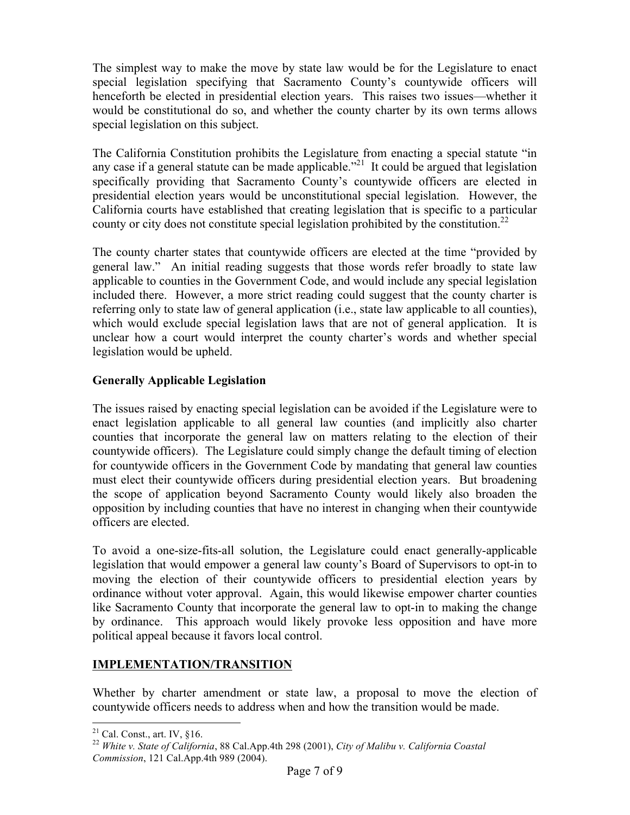The simplest way to make the move by state law would be for the Legislature to enact special legislation specifying that Sacramento County's countywide officers will henceforth be elected in presidential election years. This raises two issues—whether it would be constitutional do so, and whether the county charter by its own terms allows special legislation on this subject.

The California Constitution prohibits the Legislature from enacting a special statute "in any case if a general statute can be made applicable.<sup>221</sup> It could be argued that legislation specifically providing that Sacramento County's countywide officers are elected in presidential election years would be unconstitutional special legislation. However, the California courts have established that creating legislation that is specific to a particular county or city does not constitute special legislation prohibited by the constitution.<sup>22</sup>

The county charter states that countywide officers are elected at the time "provided by general law." An initial reading suggests that those words refer broadly to state law applicable to counties in the Government Code, and would include any special legislation included there. However, a more strict reading could suggest that the county charter is referring only to state law of general application (i.e., state law applicable to all counties), which would exclude special legislation laws that are not of general application. It is unclear how a court would interpret the county charter's words and whether special legislation would be upheld.

# **Generally Applicable Legislation**

The issues raised by enacting special legislation can be avoided if the Legislature were to enact legislation applicable to all general law counties (and implicitly also charter counties that incorporate the general law on matters relating to the election of their countywide officers). The Legislature could simply change the default timing of election for countywide officers in the Government Code by mandating that general law counties must elect their countywide officers during presidential election years. But broadening the scope of application beyond Sacramento County would likely also broaden the opposition by including counties that have no interest in changing when their countywide officers are elected.

To avoid a one-size-fits-all solution, the Legislature could enact generally-applicable legislation that would empower a general law county's Board of Supervisors to opt-in to moving the election of their countywide officers to presidential election years by ordinance without voter approval. Again, this would likewise empower charter counties like Sacramento County that incorporate the general law to opt-in to making the change by ordinance. This approach would likely provoke less opposition and have more political appeal because it favors local control.

# **IMPLEMENTATION/TRANSITION**

Whether by charter amendment or state law, a proposal to move the election of countywide officers needs to address when and how the transition would be made.

 <sup>21</sup> Cal. Const., art. IV, §16. 22 *White v. State of California*, 88 Cal.App.4th 298 (2001), *City of Malibu v. California Coastal Commission*, 121 Cal.App.4th 989 (2004).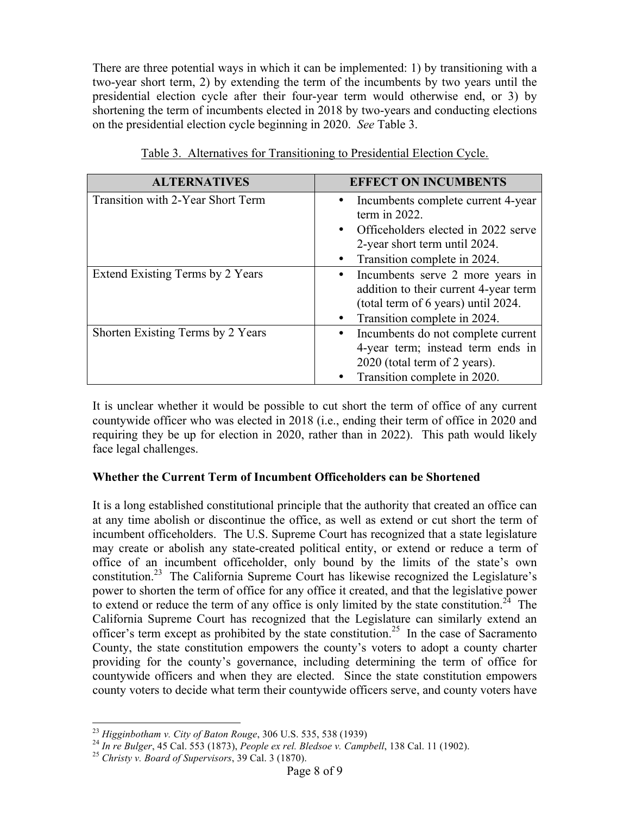There are three potential ways in which it can be implemented: 1) by transitioning with a two-year short term, 2) by extending the term of the incumbents by two years until the presidential election cycle after their four-year term would otherwise end, or 3) by shortening the term of incumbents elected in 2018 by two-years and conducting elections on the presidential election cycle beginning in 2020. *See* Table 3.

| <b>ALTERNATIVES</b>               | <b>EFFECT ON INCUMBENTS</b>                                                                                                                                                 |
|-----------------------------------|-----------------------------------------------------------------------------------------------------------------------------------------------------------------------------|
| Transition with 2-Year Short Term | Incumbents complete current 4-year<br>term in $2022$ .<br>Officeholders elected in 2022 serve<br>$\bullet$<br>2-year short term until 2024.<br>Transition complete in 2024. |
| Extend Existing Terms by 2 Years  | Incumbents serve 2 more years in<br>addition to their current 4-year term<br>(total term of 6 years) until 2024.<br>Transition complete in 2024.                            |
| Shorten Existing Terms by 2 Years | Incumbents do not complete current<br>4-year term; instead term ends in<br>2020 (total term of 2 years).<br>Transition complete in 2020.                                    |

|--|

It is unclear whether it would be possible to cut short the term of office of any current countywide officer who was elected in 2018 (i.e., ending their term of office in 2020 and requiring they be up for election in 2020, rather than in 2022). This path would likely face legal challenges.

# **Whether the Current Term of Incumbent Officeholders can be Shortened**

It is a long established constitutional principle that the authority that created an office can at any time abolish or discontinue the office, as well as extend or cut short the term of incumbent officeholders. The U.S. Supreme Court has recognized that a state legislature may create or abolish any state-created political entity, or extend or reduce a term of office of an incumbent officeholder, only bound by the limits of the state's own constitution.23 The California Supreme Court has likewise recognized the Legislature's power to shorten the term of office for any office it created, and that the legislative power to extend or reduce the term of any office is only limited by the state constitution.<sup>24</sup> The California Supreme Court has recognized that the Legislature can similarly extend an officer's term except as prohibited by the state constitution.<sup>25</sup> In the case of Sacramento County, the state constitution empowers the county's voters to adopt a county charter providing for the county's governance, including determining the term of office for countywide officers and when they are elected. Since the state constitution empowers county voters to decide what term their countywide officers serve, and county voters have

<sup>&</sup>lt;sup>23</sup> Higginbotham v. City of Baton Rouge, 306 U.S. 535, 538 (1939)<br><sup>24</sup> In re Bulger, 45 Cal. 553 (1873), People ex rel. Bledsoe v. Campbell, 138 Cal. 11 (1902).<br><sup>25</sup> Christy v. Board of Supervisors, 39 Cal. 3 (1870).